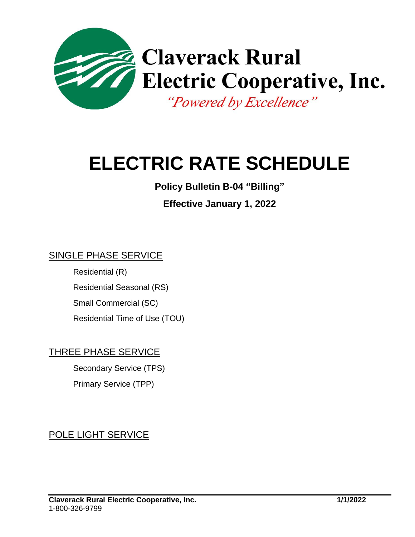

# **ELECTRIC RATE SCHEDULE**

# **Policy Bulletin B-04 "Billing"**

# **Effective January 1, 2022**

#### SINGLE PHASE SERVICE

Residential (R) Residential Seasonal (RS) Small Commercial (SC) Residential Time of Use (TOU)

## THREE PHASE SERVICE

Secondary Service (TPS) Primary Service (TPP)

# POLE LIGHT SERVICE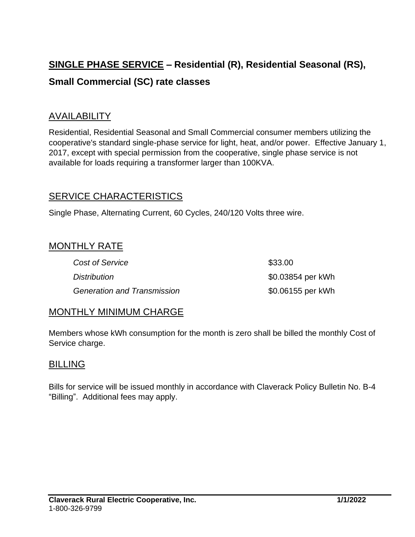# **SINGLE PHASE SERVICE – Residential (R), Residential Seasonal (RS), Small Commercial (SC) rate classes**

#### AVAILABILITY

Residential, Residential Seasonal and Small Commercial consumer members utilizing the cooperative's standard single-phase service for light, heat, and/or power. Effective January 1, 2017, except with special permission from the cooperative, single phase service is not available for loads requiring a transformer larger than 100KVA.

#### SERVICE CHARACTERISTICS

Single Phase, Alternating Current, 60 Cycles, 240/120 Volts three wire.

#### MONTHLY RATE

| <b>Cost of Service</b>      | \$33.00           |
|-----------------------------|-------------------|
| <b>Distribution</b>         | \$0.03854 per kWh |
| Generation and Transmission | \$0.06155 per kWh |

#### MONTHLY MINIMUM CHARGE

Members whose kWh consumption for the month is zero shall be billed the monthly Cost of Service charge.

#### **BILLING**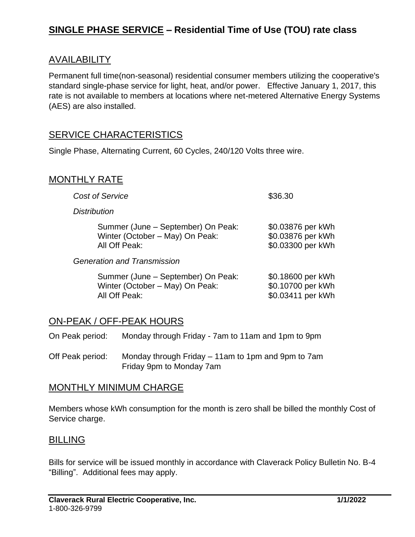# **SINGLE PHASE SERVICE – Residential Time of Use (TOU) rate class**

#### AVAILABILITY

Permanent full time(non-seasonal) residential consumer members utilizing the cooperative's standard single-phase service for light, heat, and/or power. Effective January 1, 2017, this rate is not available to members at locations where net-metered Alternative Energy Systems (AES) are also installed.

#### SERVICE CHARACTERISTICS

Single Phase, Alternating Current, 60 Cycles, 240/120 Volts three wire.

#### MONTHLY RATE

| <b>Cost of Service</b>                                                                 | \$36.30                                                     |
|----------------------------------------------------------------------------------------|-------------------------------------------------------------|
| <b>Distribution</b>                                                                    |                                                             |
| Summer (June – September) On Peak:<br>Winter (October - May) On Peak:<br>All Off Peak: | \$0.03876 per kWh<br>\$0.03876 per kWh<br>\$0.03300 per kWh |
| <b>Generation and Transmission</b>                                                     |                                                             |
| Summer (June – September) On Peak:<br>Winter (October - May) On Peak:<br>All Off Peak: | \$0.18600 per kWh<br>\$0.10700 per kWh<br>\$0.03411 per kWh |

#### ON-PEAK / OFF-PEAK HOURS

On Peak period: Monday through Friday - 7am to 11am and 1pm to 9pm

Off Peak period: Monday through Friday – 11am to 1pm and 9pm to 7am Friday 9pm to Monday 7am

#### MONTHLY MINIMUM CHARGE

Members whose kWh consumption for the month is zero shall be billed the monthly Cost of Service charge.

#### BILLING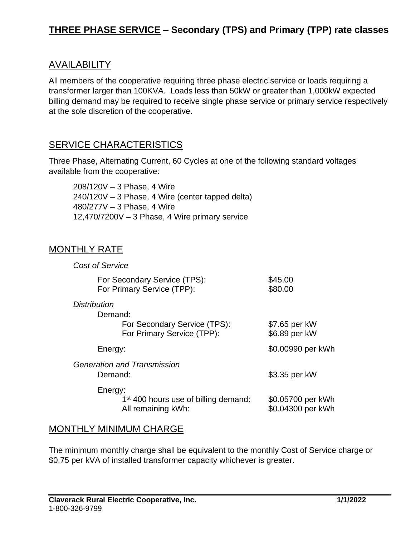# **THREE PHASE SERVICE – Secondary (TPS) and Primary (TPP) rate classes**

#### AVAILABILITY

All members of the cooperative requiring three phase electric service or loads requiring a transformer larger than 100KVA. Loads less than 50kW or greater than 1,000kW expected billing demand may be required to receive single phase service or primary service respectively at the sole discretion of the cooperative.

#### SERVICE CHARACTERISTICS

Three Phase, Alternating Current, 60 Cycles at one of the following standard voltages available from the cooperative:

208/120V – 3 Phase, 4 Wire 240/120V – 3 Phase, 4 Wire (center tapped delta) 480/277V – 3 Phase, 4 Wire 12,470/7200V – 3 Phase, 4 Wire primary service

#### MONTHLY RATE

| <b>Cost of Service</b>                                                            |                                        |
|-----------------------------------------------------------------------------------|----------------------------------------|
| For Secondary Service (TPS):<br>For Primary Service (TPP):                        | \$45.00<br>\$80.00                     |
| <b>Distribution</b><br>Demand:                                                    |                                        |
| For Secondary Service (TPS):<br>For Primary Service (TPP):                        | \$7.65 per kW<br>\$6.89 per kW         |
| Energy:                                                                           | \$0.00990 per kWh                      |
| Generation and Transmission<br>Demand:                                            | \$3.35 per kW                          |
| Energy:<br>1 <sup>st</sup> 400 hours use of billing demand:<br>All remaining kWh: | \$0.05700 per kWh<br>\$0.04300 per kWh |

#### MONTHLY MINIMUM CHARGE

The minimum monthly charge shall be equivalent to the monthly Cost of Service charge or \$0.75 per kVA of installed transformer capacity whichever is greater.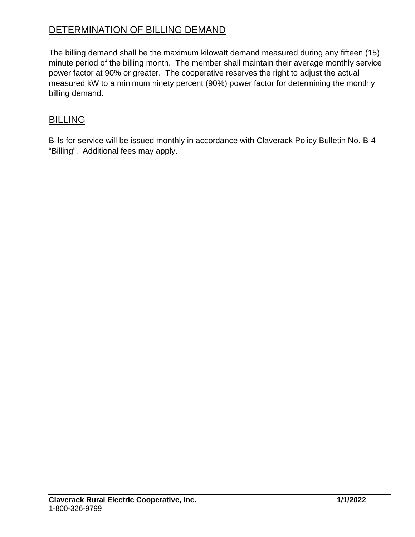# DETERMINATION OF BILLING DEMAND

The billing demand shall be the maximum kilowatt demand measured during any fifteen (15) minute period of the billing month. The member shall maintain their average monthly service power factor at 90% or greater. The cooperative reserves the right to adjust the actual measured kW to a minimum ninety percent (90%) power factor for determining the monthly billing demand.

#### BILLING